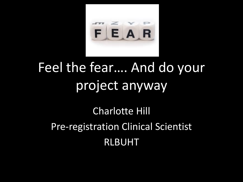$F \nightharpoonup F$ 

## Feel the fear…. And do your project anyway

Charlotte Hill Pre-registration Clinical Scientist RLBUHT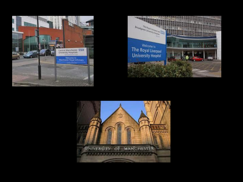



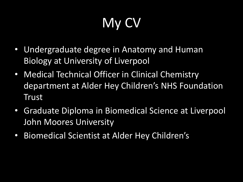# My CV

- Undergraduate degree in Anatomy and Human Biology at University of Liverpool
- Medical Technical Officer in Clinical Chemistry department at Alder Hey Children's NHS Foundation Trust
- Graduate Diploma in Biomedical Science at Liverpool John Moores University
- Biomedical Scientist at Alder Hey Children's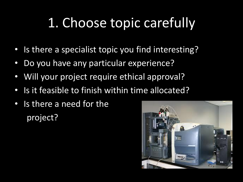#### 1. Choose topic carefully

- Is there a specialist topic you find interesting?
- Do you have any particular experience?
- Will your project require ethical approval?
- Is it feasible to finish within time allocated?
- Is there a need for the project?

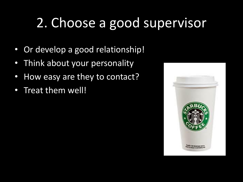## 2. Choose a good supervisor

- Or develop a good relationship!
- Think about your personality
- How easy are they to contact?
- Treat them well!

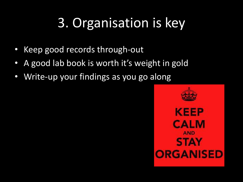## 3. Organisation is key

- Keep good records through-out
- A good lab book is worth it's weight in gold
- Write-up your findings as you go along

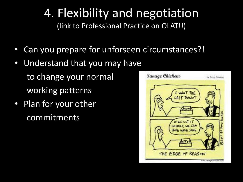#### 4. Flexibility and negotiation (link to Professional Practice on OLAT!!)

- Can you prepare for unforseen circumstances?!
- Understand that you may have to change your normal working patterns
- Plan for your other commitments

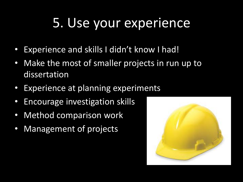#### 5. Use your experience

- Experience and skills I didn't know I had!
- Make the most of smaller projects in run up to dissertation
- Experience at planning experiments
- Encourage investigation skills
- Method comparison work
- Management of projects

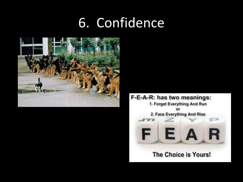#### 6. Confidence



F-E-A-R: has two meanings: 1. Forget Everything And Run or 2. Face Everything And Rise EAR F

The Choice is Yours!